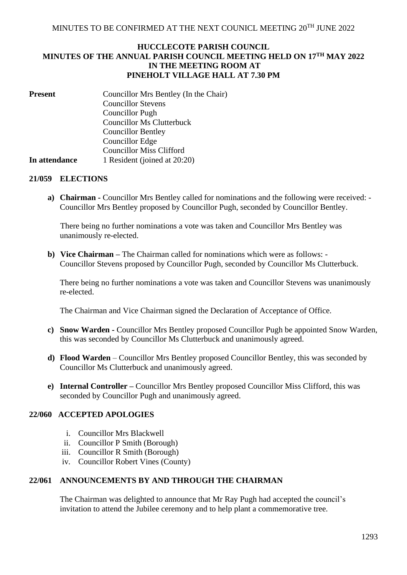## **HUCCLECOTE PARISH COUNCIL MINUTES OF THE ANNUAL PARISH COUNCIL MEETING HELD ON 17TH MAY 2022 IN THE MEETING ROOM AT PINEHOLT VILLAGE HALL AT 7.30 PM**

| <b>Present</b> | Councillor Mrs Bentley (In the Chair) |
|----------------|---------------------------------------|
|                | <b>Councillor Stevens</b>             |
|                | Councillor Pugh                       |
|                | <b>Councillor Ms Clutterbuck</b>      |
|                | <b>Councillor Bentley</b>             |
|                | <b>Councillor Edge</b>                |
|                | <b>Councillor Miss Clifford</b>       |
| In attendance  | 1 Resident (joined at 20:20)          |

### **21/059 ELECTIONS**

**a) Chairman -** Councillor Mrs Bentley called for nominations and the following were received: - Councillor Mrs Bentley proposed by Councillor Pugh, seconded by Councillor Bentley.

There being no further nominations a vote was taken and Councillor Mrs Bentley was unanimously re-elected.

**b) Vice Chairman –** The Chairman called for nominations which were as follows: - Councillor Stevens proposed by Councillor Pugh, seconded by Councillor Ms Clutterbuck.

There being no further nominations a vote was taken and Councillor Stevens was unanimously re-elected.

The Chairman and Vice Chairman signed the Declaration of Acceptance of Office.

- **c) Snow Warden -** Councillor Mrs Bentley proposed Councillor Pugh be appointed Snow Warden, this was seconded by Councillor Ms Clutterbuck and unanimously agreed.
- **d) Flood Warden** Councillor Mrs Bentley proposed Councillor Bentley, this was seconded by Councillor Ms Clutterbuck and unanimously agreed.
- **e) Internal Controller –** Councillor Mrs Bentley proposed Councillor Miss Clifford, this was seconded by Councillor Pugh and unanimously agreed.

## **22/060 ACCEPTED APOLOGIES**

- i. Councillor Mrs Blackwell
- ii. Councillor P Smith (Borough)
- iii. Councillor R Smith (Borough)
- iv. Councillor Robert Vines (County)

## **22/061 ANNOUNCEMENTS BY AND THROUGH THE CHAIRMAN**

The Chairman was delighted to announce that Mr Ray Pugh had accepted the council's invitation to attend the Jubilee ceremony and to help plant a commemorative tree.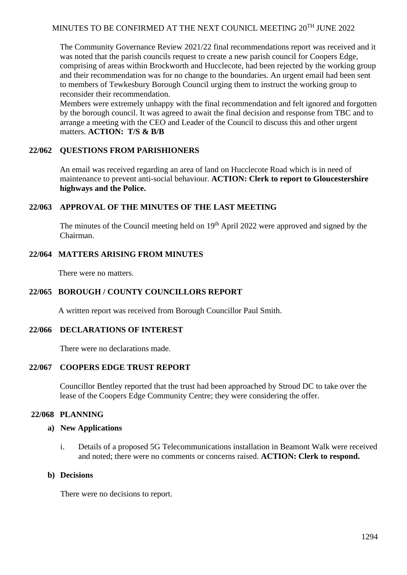# MINUTES TO BE CONFIRMED AT THE NEXT COUNICL MEETING  $20^{TH}$  JUNE 2022

The Community Governance Review 2021/22 final recommendations report was received and it was noted that the parish councils request to create a new parish council for Coopers Edge, comprising of areas within Brockworth and Hucclecote, had been rejected by the working group and their recommendation was for no change to the boundaries. An urgent email had been sent to members of Tewkesbury Borough Council urging them to instruct the working group to reconsider their recommendation.

Members were extremely unhappy with the final recommendation and felt ignored and forgotten by the borough council. It was agreed to await the final decision and response from TBC and to arrange a meeting with the CEO and Leader of the Council to discuss this and other urgent matters. **ACTION: T/S & B/B**

## **22/062 QUESTIONS FROM PARISHIONERS**

An email was received regarding an area of land on Hucclecote Road which is in need of maintenance to prevent anti-social behaviour. **ACTION: Clerk to report to Gloucestershire highways and the Police.**

### **22/063 APPROVAL OF THE MINUTES OF THE LAST MEETING**

The minutes of the Council meeting held on 19<sup>th</sup> April 2022 were approved and signed by the Chairman.

### **22/064 MATTERS ARISING FROM MINUTES**

There were no matters.

## **22/065 BOROUGH / COUNTY COUNCILLORS REPORT**

A written report was received from Borough Councillor Paul Smith.

### **22/066 DECLARATIONS OF INTEREST**

There were no declarations made.

### **22/067 COOPERS EDGE TRUST REPORT**

Councillor Bentley reported that the trust had been approached by Stroud DC to take over the lease of the Coopers Edge Community Centre; they were considering the offer.

### **22/068 PLANNING**

### **a) New Applications**

i. Details of a proposed 5G Telecommunications installation in Beamont Walk were received and noted; there were no comments or concerns raised. **ACTION: Clerk to respond.**

### **b) Decisions**

There were no decisions to report.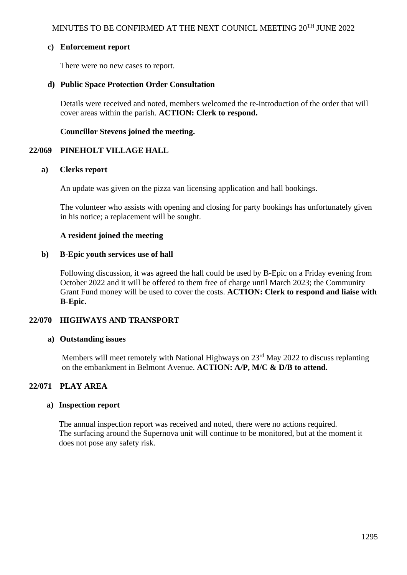## **c) Enforcement report**

There were no new cases to report.

## **d) Public Space Protection Order Consultation**

Details were received and noted, members welcomed the re-introduction of the order that will cover areas within the parish. **ACTION: Clerk to respond.**

**Councillor Stevens joined the meeting.**

## **22/069 PINEHOLT VILLAGE HALL**

### **a) Clerks report**

An update was given on the pizza van licensing application and hall bookings.

The volunteer who assists with opening and closing for party bookings has unfortunately given in his notice; a replacement will be sought.

## **A resident joined the meeting**

## **b) B-Epic youth services use of hall**

Following discussion, it was agreed the hall could be used by B-Epic on a Friday evening from October 2022 and it will be offered to them free of charge until March 2023; the Community Grant Fund money will be used to cover the costs. **ACTION: Clerk to respond and liaise with B-Epic.**

## **22/070 HIGHWAYS AND TRANSPORT**

### **a) Outstanding issues**

Members will meet remotely with National Highways on 23<sup>rd</sup> May 2022 to discuss replanting on the embankment in Belmont Avenue. **ACTION: A/P, M/C & D/B to attend.**

## **22/071 PLAY AREA**

### **a) Inspection report**

The annual inspection report was received and noted, there were no actions required. The surfacing around the Supernova unit will continue to be monitored, but at the moment it does not pose any safety risk.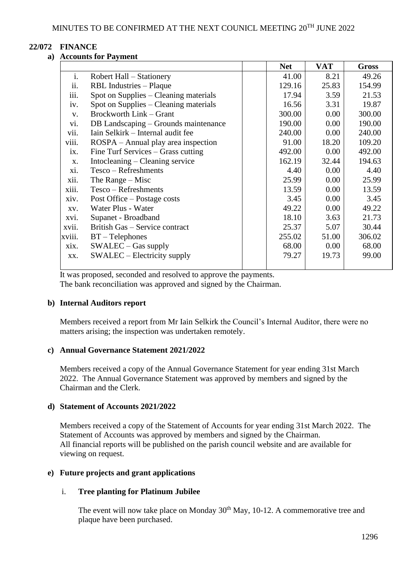# **22/072 FINANCE**

## **a) Accounts for Payment**

|        |                                       |  | <b>Net</b> | <b>VAT</b> | <b>Gross</b> |
|--------|---------------------------------------|--|------------|------------|--------------|
| i.     | Robert Hall – Stationery              |  | 41.00      | 8.21       | 49.26        |
| ii.    | RBL Industries – Plaque               |  | 129.16     | 25.83      | 154.99       |
| iii.   | Spot on Supplies – Cleaning materials |  | 17.94      | 3.59       | 21.53        |
| iv.    | Spot on Supplies – Cleaning materials |  | 16.56      | 3.31       | 19.87        |
| V.     | Brockworth Link – Grant               |  | 300.00     | 0.00       | 300.00       |
| vi.    | DB Landscaping – Grounds maintenance  |  | 190.00     | 0.00       | 190.00       |
| vii.   | Iain Selkirk – Internal audit fee     |  | 240.00     | 0.00       | 240.00       |
| viii.  | ROSPA – Annual play area inspection   |  | 91.00      | 18.20      | 109.20       |
| ix.    | Fine Turf Services – Grass cutting    |  | 492.00     | 0.00       | 492.00       |
| X.     | Intocleaning – Cleaning service       |  | 162.19     | 32.44      | 194.63       |
| xi.    | Tesco – Refreshments                  |  | 4.40       | 0.00       | 4.40         |
| xii.   | The Range $-$ Misc                    |  | 25.99      | 0.00       | 25.99        |
| xiii.  | Tesco - Refreshments                  |  | 13.59      | 0.00       | 13.59        |
| xiv.   | Post Office – Postage costs           |  | 3.45       | 0.00       | 3.45         |
| XV.    | Water Plus - Water                    |  | 49.22      | 0.00       | 49.22        |
| xvi.   | Supanet - Broadband                   |  | 18.10      | 3.63       | 21.73        |
| xvii.  | British Gas – Service contract        |  | 25.37      | 5.07       | 30.44        |
| xviii. | $BT - Telephones$                     |  | 255.02     | 51.00      | 306.02       |
| xix.   | $SWALEC - Gas$ supply                 |  | 68.00      | 0.00       | 68.00        |
| XX.    | SWALEC – Electricity supply           |  | 79.27      | 19.73      | 99.00        |
|        |                                       |  |            |            |              |

It was proposed, seconded and resolved to approve the payments. The bank reconciliation was approved and signed by the Chairman.

### **b) Internal Auditors report**

Members received a report from Mr Iain Selkirk the Council's Internal Auditor, there were no matters arising; the inspection was undertaken remotely.

### **c) Annual Governance Statement 2021/2022**

Members received a copy of the Annual Governance Statement for year ending 31st March 2022. The Annual Governance Statement was approved by members and signed by the Chairman and the Clerk.

### **d) Statement of Accounts 2021/2022**

Members received a copy of the Statement of Accounts for year ending 31st March 2022. The Statement of Accounts was approved by members and signed by the Chairman. All financial reports will be published on the parish council website and are available for viewing on request.

## **e) Future projects and grant applications**

### i. **Tree planting for Platinum Jubilee**

The event will now take place on Monday  $30<sup>th</sup>$  May, 10-12. A commemorative tree and plaque have been purchased.